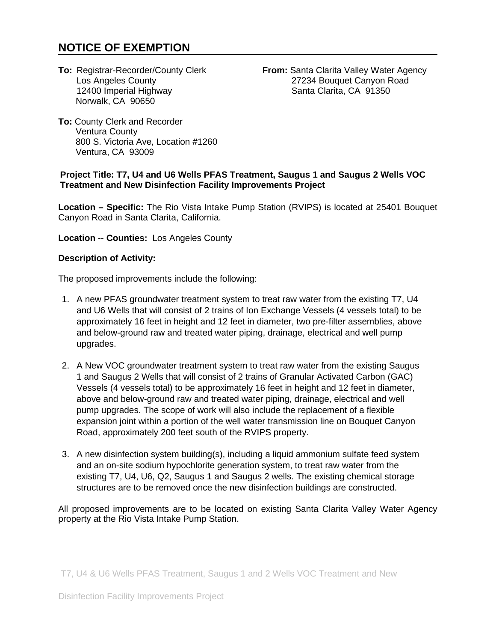# **NOTICE OF EXEMPTION**

12400 Imperial Highway Norwalk, CA 90650

**To: Registrar-Recorder/County Clerk <b>From:** Santa Clarita Valley Water Agency<br>Los Angeles County **1999** 27234 Bouquet Canyon Road 27234 Bouquet Canyon Road<br>Santa Clarita, CA 91350

**To:** County Clerk and Recorder Ventura County 800 S. Victoria Ave, Location #1260 Ventura, CA 93009

#### **Project Title: T7, U4 and U6 Wells PFAS Treatment, Saugus 1 and Saugus 2 Wells VOC Treatment and New Disinfection Facility Improvements Project**

**Location – Specific:** The Rio Vista Intake Pump Station (RVIPS) is located at 25401 Bouquet Canyon Road in Santa Clarita, California.

**Location** -- **Counties:** Los Angeles County

#### **Description of Activity:**

The proposed improvements include the following:

- 1. A new PFAS groundwater treatment system to treat raw water from the existing T7, U4 and U6 Wells that will consist of 2 trains of Ion Exchange Vessels (4 vessels total) to be approximately 16 feet in height and 12 feet in diameter, two pre-filter assemblies, above and below-ground raw and treated water piping, drainage, electrical and well pump upgrades.
- 2. A New VOC groundwater treatment system to treat raw water from the existing Saugus 1 and Saugus 2 Wells that will consist of 2 trains of Granular Activated Carbon (GAC) Vessels (4 vessels total) to be approximately 16 feet in height and 12 feet in diameter, above and below-ground raw and treated water piping, drainage, electrical and well pump upgrades. The scope of work will also include the replacement of a flexible expansion joint within a portion of the well water transmission line on Bouquet Canyon Road, approximately 200 feet south of the RVIPS property.
- 3. A new disinfection system building(s), including a liquid ammonium sulfate feed system and an on-site sodium hypochlorite generation system, to treat raw water from the existing T7, U4, U6, Q2, Saugus 1 and Saugus 2 wells. The existing chemical storage structures are to be removed once the new disinfection buildings are constructed.

All proposed improvements are to be located on existing Santa Clarita Valley Water Agency property at the Rio Vista Intake Pump Station.